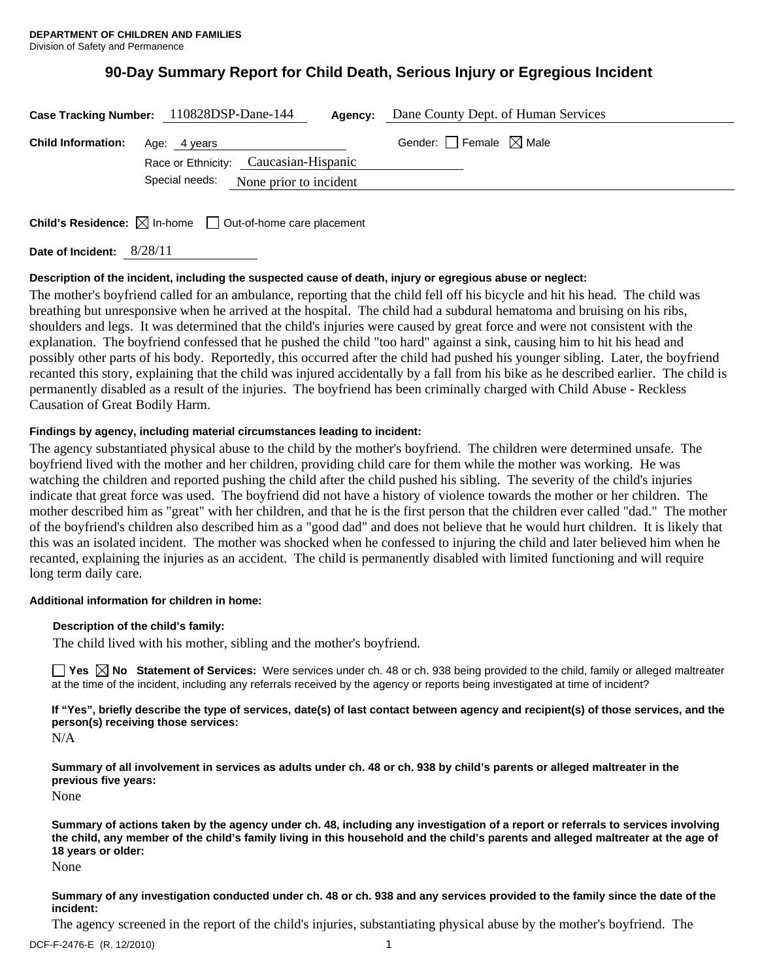# **90-Day Summary Report for Child Death, Serious Injury or Egregious Incident**

| Case Tracking Number: 110828DSP-Dane-144<br>Agency: |                                       |  |  | Dane County Dept. of Human Services    |
|-----------------------------------------------------|---------------------------------------|--|--|----------------------------------------|
| <b>Child Information:</b>                           | Age: 4 years                          |  |  | Gender: $\Box$ Female $\boxtimes$ Male |
|                                                     | Race or Ethnicity: Caucasian-Hispanic |  |  |                                        |
|                                                     | Special needs: None prior to incident |  |  |                                        |
|                                                     |                                       |  |  |                                        |

**Child's Residence:**  $\boxtimes$  In-home  $\Box$  Out-of-home care placement

**Date of Incident:** 8/28/11

# **Description of the incident, including the suspected cause of death, injury or egregious abuse or neglect:**

The mother's boyfriend called for an ambulance, reporting that the child fell off his bicycle and hit his head. The child was breathing but unresponsive when he arrived at the hospital. The child had a subdural hematoma and bruising on his ribs, shoulders and legs. It was determined that the child's injuries were caused by great force and were not consistent with the explanation. The boyfriend confessed that he pushed the child "too hard" against a sink, causing him to hit his head and possibly other parts of his body. Reportedly, this occurred after the child had pushed his younger sibling. Later, the boyfriend recanted this story, explaining that the child was injured accidentally by a fall from his bike as he described earlier. The child is permanently disabled as a result of the injuries. The boyfriend has been criminally charged with Child Abuse - Reckless Causation of Great Bodily Harm.

# **Findings by agency, including material circumstances leading to incident:**

The agency substantiated physical abuse to the child by the mother's boyfriend. The children were determined unsafe. The boyfriend lived with the mother and her children, providing child care for them while the mother was working. He was watching the children and reported pushing the child after the child pushed his sibling. The severity of the child's injuries indicate that great force was used. The boyfriend did not have a history of violence towards the mother or her children. The mother described him as "great" with her children, and that he is the first person that the children ever called "dad." The mother of the boyfriend's children also described him as a "good dad" and does not believe that he would hurt children. It is likely that this was an isolated incident. The mother was shocked when he confessed to injuring the child and later believed him when he recanted, explaining the injuries as an accident. The child is permanently disabled with limited functioning and will require long term daily care.

# **Additional information for children in home:**

# **Description of the child's family:**

The child lived with his mother, sibling and the mother's boyfriend.

**Yes No Statement of Services:** Were services under ch. 48 or ch. 938 being provided to the child, family or alleged maltreater at the time of the incident, including any referrals received by the agency or reports being investigated at time of incident?

**If "Yes", briefly describe the type of services, date(s) of last contact between agency and recipient(s) of those services, and the person(s) receiving those services:** 

N/A

**Summary of all involvement in services as adults under ch. 48 or ch. 938 by child's parents or alleged maltreater in the previous five years:** 

None

**Summary of actions taken by the agency under ch. 48, including any investigation of a report or referrals to services involving the child, any member of the child's family living in this household and the child's parents and alleged maltreater at the age of 18 years or older:** 

None

#### **Summary of any investigation conducted under ch. 48 or ch. 938 and any services provided to the family since the date of the incident:**

The agency screened in the report of the child's injuries, substantiating physical abuse by the mother's boyfriend. The